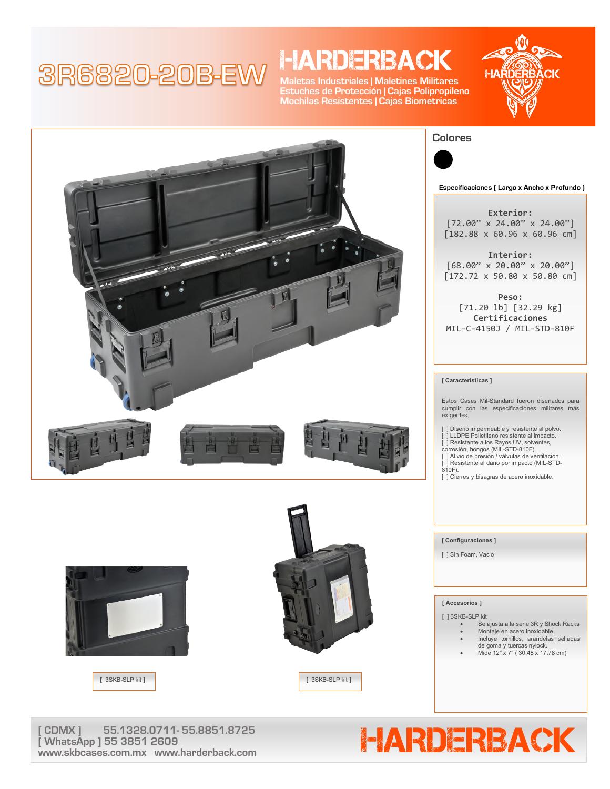## 3R6820-20B-EW

## **HARDERBACK**

**Maletas Industriales | Maletines Militares Estuches de Protección | Cajas Polipropileno Mochilas Resistentes | Cajas Biometricas**







**Especificaciones ( Largo x Ancho x Profundo )**

**Exterior:** [72.00" x 24.00" x 24.00"] [182.88 x 60.96 x 60.96 cm]

**Interior:**  $[68.00" \times 20.00" \times 20.00"]$ [172.72 x 50.80 x 50.80 cm]

**Peso:** [71.20 lb] [32.29 kg] **Certificaciones** MIL-C-4150J / MIL-STD-810F

#### **[ Características ]**

Estos Cases Mil-Standard fueron diseñados para cumplir con las especificaciones militares más exigentes.

] Diseño impermeable y resistente al polvo.

- [ ] LLDPE Polietileno resistente al impacto. [ ] Resistente a los Rayos UV, solventes, corrosión, hongos (MIL-STD-810F). [ ] Alivio de presión / válvulas de ventilación.
- 
- 
- $j$  Resistente al daño por impacto (MIL-STD-810F).

[ ] Cierres y bisagras de acero inoxidable.

#### **[ Configuraciones ]**

[ ] Sin Foam, Vacio

#### **[ Accesorios ]**

[ ] 3SKB-SLP kit

- Se ajusta a la serie 3R y Shock Racks • Montaje en acero inoxidable.
- Incluye tornillos, arandelas selladas
- 
- de goma y tuercas nylock. Mide 12" x 7" ( 30.48 x 17.78 cm)

#### **[** 3SKB-SLP kit ] **[** 3SKB-SLP kit ]

**www.skbcases.com.mx www.harderback.com**

**[ WhatsApp ] 55 3851 2609**





# CDMX ] 55.1328.0711- 55.8851.8725<br>WhatsApp ] 55.3851.2609<br>May skepter com my www.barderback.com